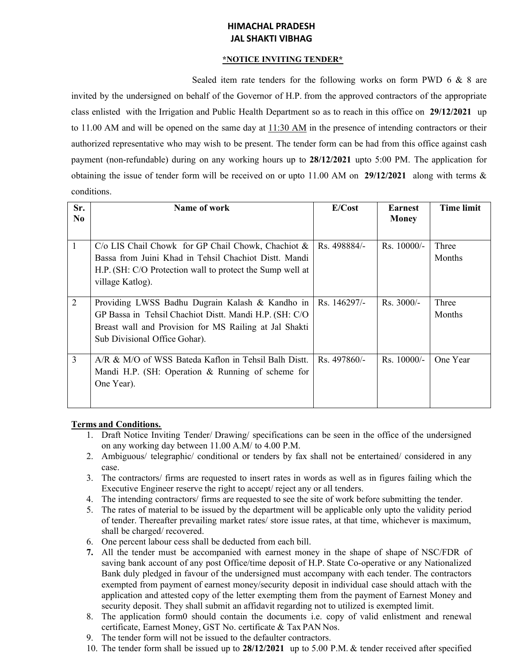## **HIMACHAL PRADESH JAL SHAKTI VIBHAG**

#### **\*NOTICE INVITING TENDER\***

Sealed item rate tenders for the following works on form PWD 6 & 8 are invited by the undersigned on behalf of the Governor of H.P. from the approved contractors of the appropriate class enlisted with the Irrigation and Public Health Department so as to reach in this office on **29/12/2021** up to 11.00 AM and will be opened on the same day at 11:30 AM in the presence of intending contractors or their authorized representative who may wish to be present. The tender form can be had from this office against cash payment (non-refundable) during on any working hours up to **28/12/2021** upto 5:00 PM. The application for obtaining the issue of tender form will be received on or upto 11.00 AM on **29/12/2021** along with terms & conditions.

| Sr.<br>N <sub>0</sub> | Name of work                                                                                                                                                                                          | E/Cost       | <b>Earnest</b><br><b>Money</b> | <b>Time limit</b> |
|-----------------------|-------------------------------------------------------------------------------------------------------------------------------------------------------------------------------------------------------|--------------|--------------------------------|-------------------|
| 1                     | $C/O$ LIS Chail Chowk for GP Chail Chowk, Chachiot $&$<br>Bassa from Juini Khad in Tehsil Chachiot Distt. Mandi<br>H.P. (SH: C/O Protection wall to protect the Sump well at<br>village Katlog).      | Rs. 498884/- | $Rs. 10000/-$                  | Three<br>Months   |
| 2                     | Providing LWSS Badhu Dugrain Kalash & Kandho in<br>GP Bassa in Tehsil Chachiot Distt. Mandi H.P. (SH: C/O)<br>Breast wall and Provision for MS Railing at Jal Shakti<br>Sub Divisional Office Gohar). | Rs. 146297/- | $Rs. 3000/-$                   | Three<br>Months   |
| 3                     | A/R & M/O of WSS Bateda Kaflon in Tehsil Balh Distt.<br>Mandi H.P. (SH: Operation & Running of scheme for<br>One Year).                                                                               | Rs. 497860/- | Rs. 10000/-                    | One Year          |

# **Terms and Conditions.**

- 1. Draft Notice Inviting Tender/ Drawing/ specifications can be seen in the office of the undersigned on any working day between 11.00 A.M/ to 4.00 P.M.
- 2. Ambiguous/ telegraphic/ conditional or tenders by fax shall not be entertained/ considered in any case.
- 3. The contractors/ firms are requested to insert rates in words as well as in figures failing which the Executive Engineer reserve the right to accept/ reject any or all tenders.
- 4. The intending contractors/ firms are requested to see the site of work before submitting the tender.
- 5. The rates of material to be issued by the department will be applicable only upto the validity period of tender. Thereafter prevailing market rates/ store issue rates, at that time, whichever is maximum, shall be charged/ recovered.
- 6. One percent labour cess shall be deducted from each bill.
- **7.** All the tender must be accompanied with earnest money in the shape of shape of NSC/FDR of saving bank account of any post Office/time deposit of H.P. State Co-operative or any Nationalized Bank duly pledged in favour of the undersigned must accompany with each tender. The contractors exempted from payment of earnest money/security deposit in individual case should attach with the application and attested copy of the letter exempting them from the payment of Earnest Money and security deposit. They shall submit an affidavit regarding not to utilized is exempted limit.
- 8. The application form0 should contain the documents i.e. copy of valid enlistment and renewal certificate, Earnest Money, GST No. certificate & Tax PAN Nos.
- 9. The tender form will not be issued to the defaulter contractors.
- 10. The tender form shall be issued up to **28/12/2021** up to 5.00 P.M. & tender received after specified